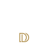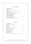# STARTERS

| <b>SEARED SCALLOPS</b>                                                                                             |
|--------------------------------------------------------------------------------------------------------------------|
| <b>BURRATA</b>                                                                                                     |
| <b>CRISPY DUCK SALAD</b><br><i>watermelon, bean sprouts, spring onions, sesame <math>\alpha</math> cashews </i> £9 |
| <b>SMOKED HADDOCK SOUFFLÉ</b>                                                                                      |
| <b>WHOLE DRESSED CRAB</b>                                                                                          |
| <b>WYE VALLEY ASPARAGUS</b>                                                                                        |

# MAINS

| <b>MONKFISH CURRY</b>       |
|-----------------------------|
| <b>HAKE KIEV</b>            |
| <b>LAMB RUMP</b>            |
| <b>LEMON SOLE THERMIDOR</b> |
| <b>ASPARAGUS RISOTTO</b>    |
| <b>ROAST CHICKEN</b>        |

*If you have an allergy or dietary requirement please keep us informed.*